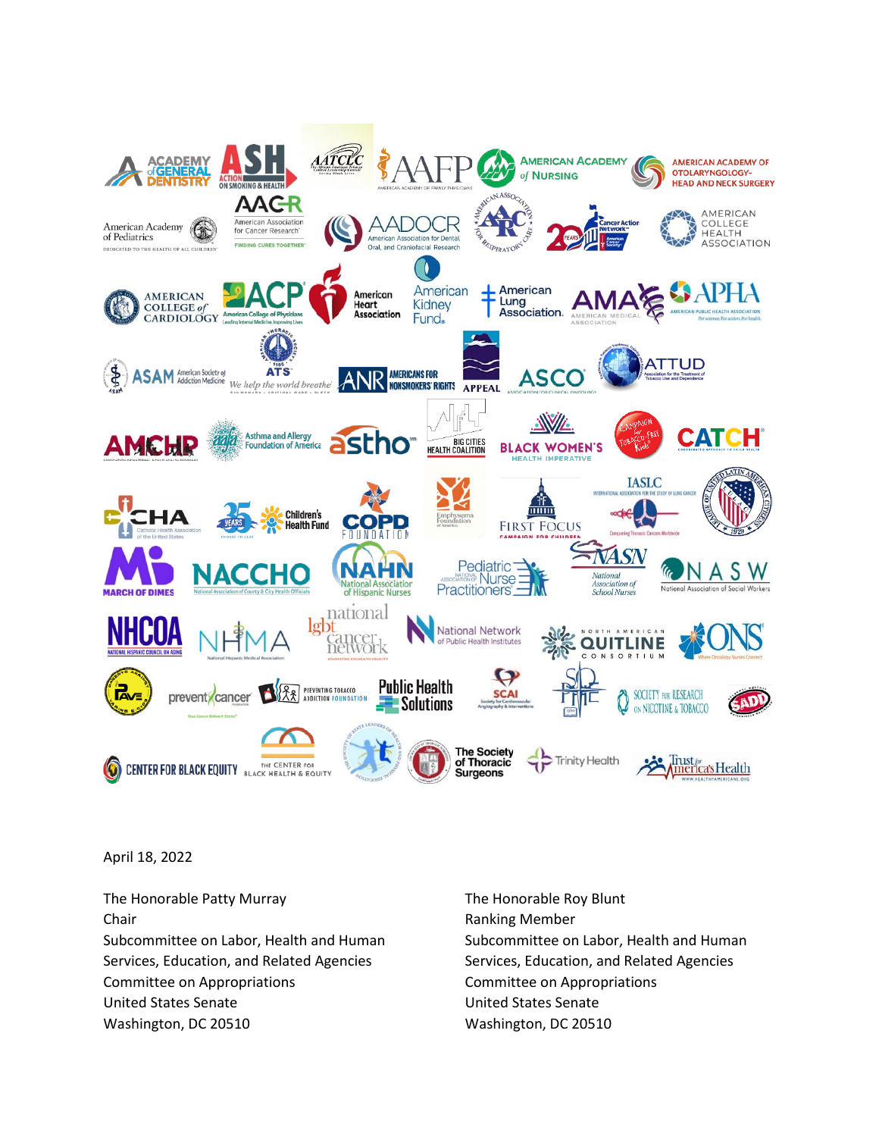

April 18, 2022

The Honorable Patty Murray The Honorable Roy Blunt Chair **Chair Chair Chair Chair Chair Chair Chair Chair Chair Chair Chair Chair Chair Chair Chair Chair Chair Chair Chair Chair Chair Chair Chair Chair Chair Chair Chair** Services, Education, and Related Agencies Services, Education, and Related Agencies Committee on Appropriations Committee on Appropriations United States Senate United States Senate Washington, DC 20510 Washington, DC 20510

Subcommittee on Labor, Health and Human Subcommittee on Labor, Health and Human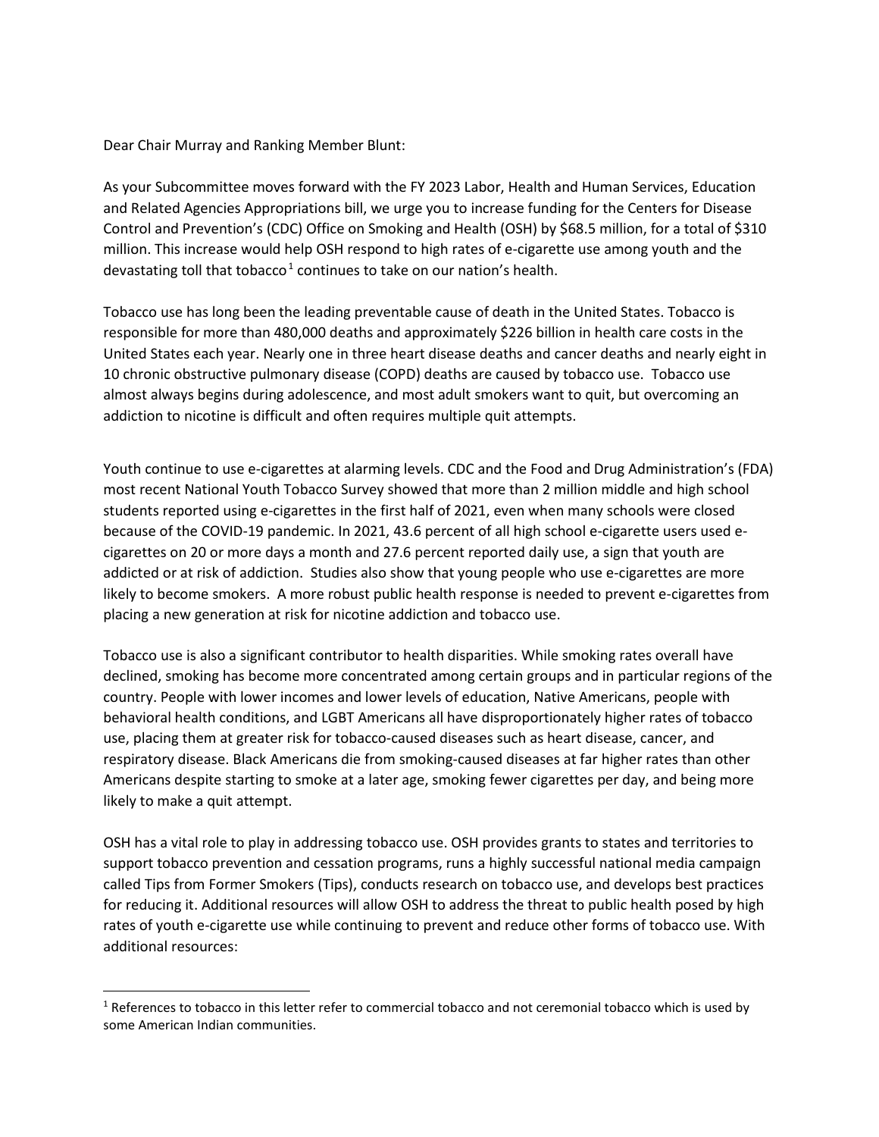Dear Chair Murray and Ranking Member Blunt:

As your Subcommittee moves forward with the FY 2023 Labor, Health and Human Services, Education and Related Agencies Appropriations bill, we urge you to increase funding for the Centers for Disease Control and Prevention's (CDC) Office on Smoking and Health (OSH) by \$68.5 million, for a total of \$310 million. This increase would help OSH respond to high rates of e-cigarette use among youth and the devastating toll that tobacco<sup>[1](#page-1-0)</sup> continues to take on our nation's health.

Tobacco use has long been the leading preventable cause of death in the United States. Tobacco is responsible for more than 480,000 deaths and approximately \$226 billion in health care costs in the United States each year. Nearly one in three heart disease deaths and cancer deaths and nearly eight in 10 chronic obstructive pulmonary disease (COPD) deaths are caused by tobacco use. Tobacco use almost always begins during adolescence, and most adult smokers want to quit, but overcoming an addiction to nicotine is difficult and often requires multiple quit attempts.

Youth continue to use e-cigarettes at alarming levels. CDC and the Food and Drug Administration's (FDA) most recent National Youth Tobacco Survey showed that more than 2 million middle and high school students reported using e-cigarettes in the first half of 2021, even when many schools were closed because of the COVID-19 pandemic. In 2021, 43.6 percent of all high school e-cigarette users used ecigarettes on 20 or more days a month and 27.6 percent reported daily use, a sign that youth are addicted or at risk of addiction. Studies also show that young people who use e-cigarettes are more likely to become smokers. A more robust public health response is needed to prevent e-cigarettes from placing a new generation at risk for nicotine addiction and tobacco use.

Tobacco use is also a significant contributor to health disparities. While smoking rates overall have declined, smoking has become more concentrated among certain groups and in particular regions of the country. People with lower incomes and lower levels of education, Native Americans, people with behavioral health conditions, and LGBT Americans all have disproportionately higher rates of tobacco use, placing them at greater risk for tobacco-caused diseases such as heart disease, cancer, and respiratory disease. Black Americans die from smoking-caused diseases at far higher rates than other Americans despite starting to smoke at a later age, smoking fewer cigarettes per day, and being more likely to make a quit attempt.

OSH has a vital role to play in addressing tobacco use. OSH provides grants to states and territories to support tobacco prevention and cessation programs, runs a highly successful national media campaign called Tips from Former Smokers (Tips), conducts research on tobacco use, and develops best practices for reducing it. Additional resources will allow OSH to address the threat to public health posed by high rates of youth e-cigarette use while continuing to prevent and reduce other forms of tobacco use. With additional resources:

<span id="page-1-0"></span><sup>&</sup>lt;sup>1</sup> References to tobacco in this letter refer to commercial tobacco and not ceremonial tobacco which is used by some American Indian communities.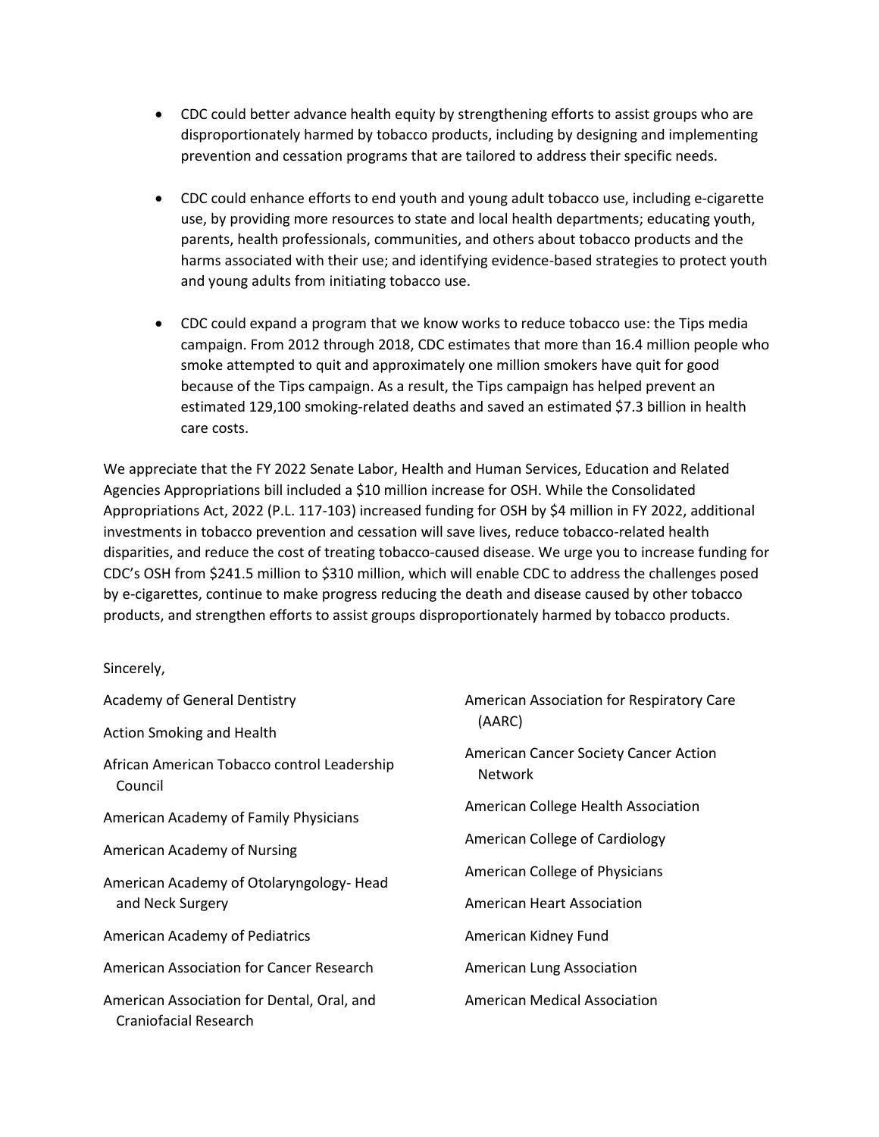- CDC could better advance health equity by strengthening efforts to assist groups who are disproportionately harmed by tobacco products, including by designing and implementing prevention and cessation programs that are tailored to address their specific needs.
- CDC could enhance efforts to end youth and young adult tobacco use, including e-cigarette use, by providing more resources to state and local health departments; educating youth, parents, health professionals, communities, and others about tobacco products and the harms associated with their use; and identifying evidence-based strategies to protect youth and young adults from initiating tobacco use.
- CDC could expand a program that we know works to reduce tobacco use: the Tips media campaign. From 2012 through 2018, CDC estimates that more than 16.4 million people who smoke attempted to quit and approximately one million smokers have quit for good because of the Tips campaign. As a result, the Tips campaign has helped prevent an estimated 129,100 smoking-related deaths and saved an estimated \$7.3 billion in health care costs.

We appreciate that the FY 2022 Senate Labor, Health and Human Services, Education and Related Agencies Appropriations bill included a \$10 million increase for OSH. While the Consolidated Appropriations Act, 2022 (P.L. 117-103) increased funding for OSH by \$4 million in FY 2022, additional investments in tobacco prevention and cessation will save lives, reduce tobacco-related health disparities, and reduce the cost of treating tobacco-caused disease. We urge you to increase funding for CDC's OSH from \$241.5 million to \$310 million, which will enable CDC to address the challenges posed by e-cigarettes, continue to make progress reducing the death and disease caused by other tobacco products, and strengthen efforts to assist groups disproportionately harmed by tobacco products.

Sincerely,

| <b>Academy of General Dentistry</b>                                 | American Association for Respiratory Care<br>(AARC)            |
|---------------------------------------------------------------------|----------------------------------------------------------------|
| <b>Action Smoking and Health</b>                                    |                                                                |
| African American Tobacco control Leadership<br>Council              | <b>American Cancer Society Cancer Action</b><br><b>Network</b> |
| American Academy of Family Physicians                               | American College Health Association                            |
| American Academy of Nursing                                         | American College of Cardiology                                 |
| American Academy of Otolaryngology-Head<br>and Neck Surgery         | American College of Physicians                                 |
|                                                                     | <b>American Heart Association</b>                              |
| American Academy of Pediatrics                                      | American Kidney Fund                                           |
| American Association for Cancer Research                            | American Lung Association                                      |
| American Association for Dental, Oral, and<br>Craniofacial Research | <b>American Medical Association</b>                            |